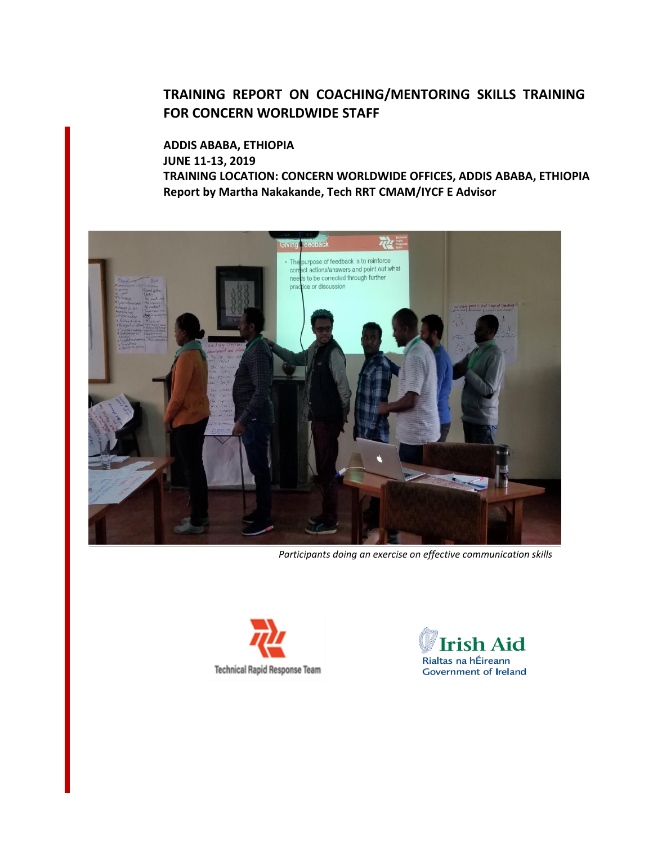## **TRAINING REPORT ON COACHING/MENTORING SKILLS TRAINING FOR CONCERN WORLDWIDE STAFF**

**ADDIS ABABA, ETHIOPIA JUNE 11-13, 2019 TRAINING LOCATION: CONCERN WORLDWIDE OFFICES, ADDIS ABABA, ETHIOPIA Report by Martha Nakakande, Tech RRT CMAM/IYCF E Advisor**



*Participants doing an exercise on effective communication skills*



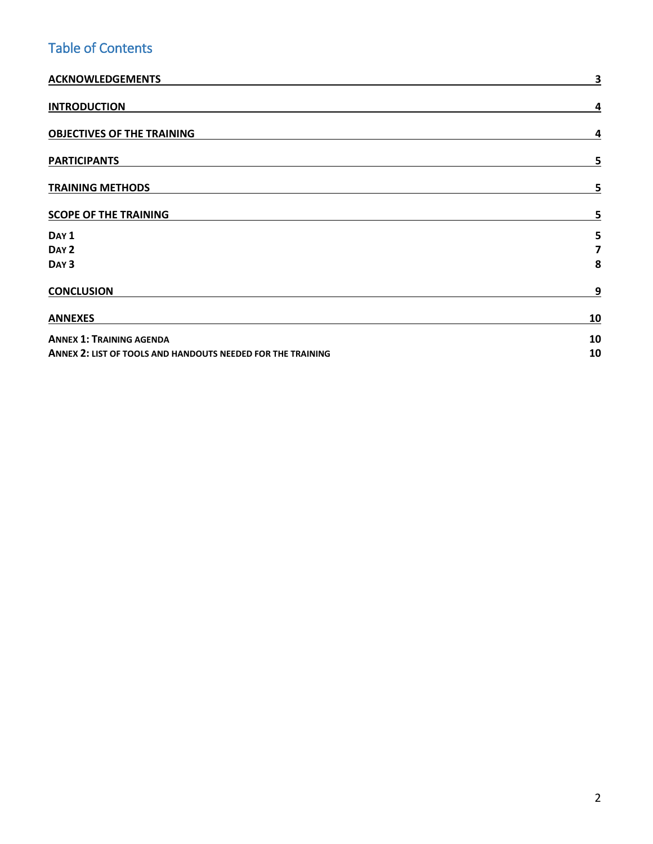# Table of Contents

| <b>ACKNOWLEDGEMENTS</b>                                     | 3  |
|-------------------------------------------------------------|----|
| <b>INTRODUCTION</b>                                         | 4  |
| <b>OBJECTIVES OF THE TRAINING</b>                           | 4  |
| <b>PARTICIPANTS</b>                                         | 5  |
| <b>TRAINING METHODS</b>                                     | 5  |
| <b>SCOPE OF THE TRAINING</b>                                | 5  |
| DAY <sub>1</sub>                                            | 5  |
| DAY <sub>2</sub>                                            | 7  |
| DAY <sub>3</sub>                                            | 8  |
| <b>CONCLUSION</b>                                           | 9  |
| <b>ANNEXES</b>                                              | 10 |
| <b>ANNEX 1: TRAINING AGENDA</b>                             | 10 |
| ANNEX 2: LIST OF TOOLS AND HANDOUTS NEEDED FOR THE TRAINING | 10 |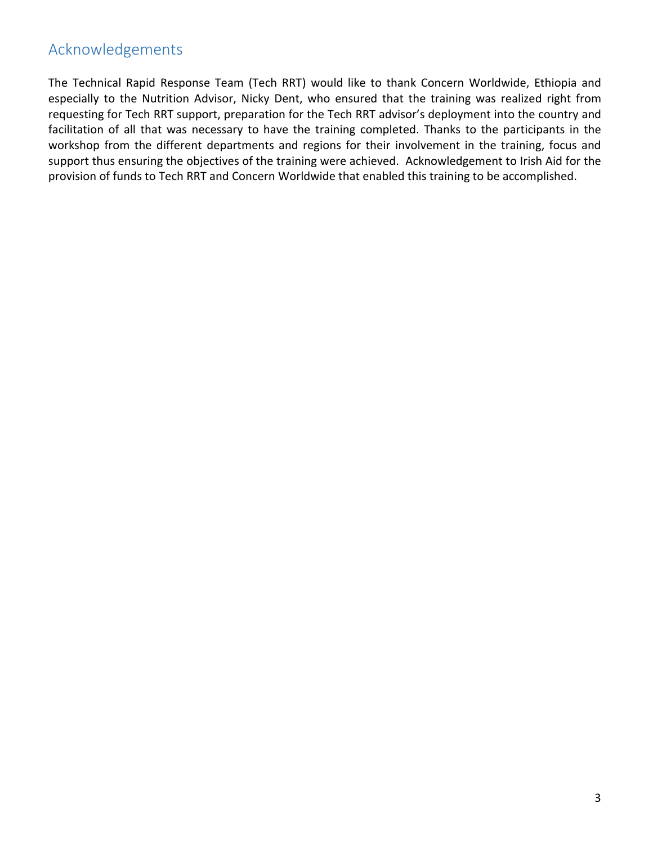## <span id="page-2-0"></span>Acknowledgements

The Technical Rapid Response Team (Tech RRT) would like to thank Concern Worldwide, Ethiopia and especially to the Nutrition Advisor, Nicky Dent, who ensured that the training was realized right from requesting for Tech RRT support, preparation for the Tech RRT advisor's deployment into the country and facilitation of all that was necessary to have the training completed. Thanks to the participants in the workshop from the different departments and regions for their involvement in the training, focus and support thus ensuring the objectives of the training were achieved. Acknowledgement to Irish Aid for the provision of funds to Tech RRT and Concern Worldwide that enabled this training to be accomplished.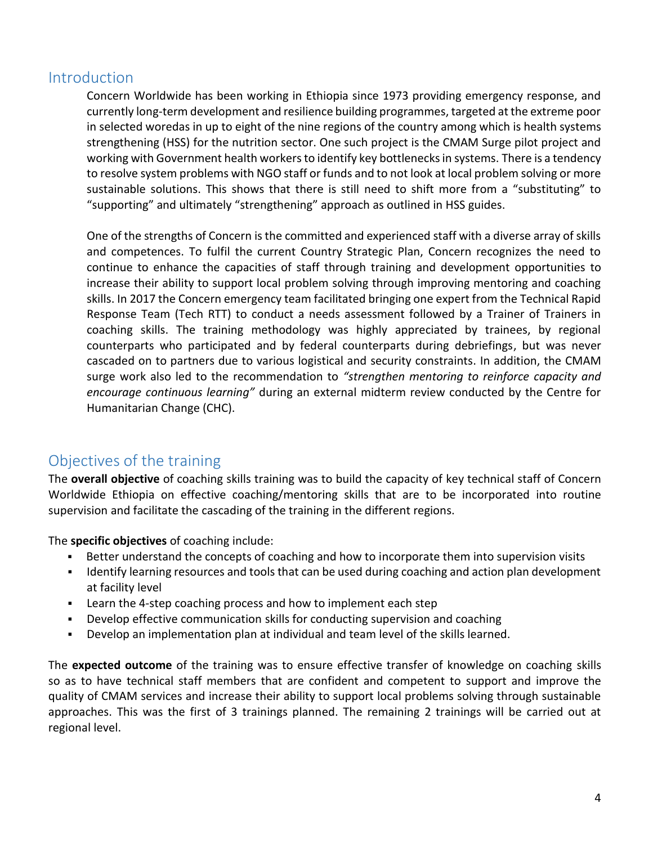## <span id="page-3-0"></span>**Introduction**

Concern Worldwide has been working in Ethiopia since 1973 providing emergency response, and currently long-term development and resilience building programmes, targeted at the extreme poor in selected woredas in up to eight of the nine regions of the country among which is health systems strengthening (HSS) for the nutrition sector. One such project is the CMAM Surge pilot project and working with Government health workers to identify key bottlenecks in systems. There is a tendency to resolve system problems with NGO staff or funds and to not look at local problem solving or more sustainable solutions. This shows that there is still need to shift more from a "substituting" to "supporting" and ultimately "strengthening" approach as outlined in HSS guides.

One of the strengths of Concern is the committed and experienced staff with a diverse array of skills and competences. To fulfil the current Country Strategic Plan, Concern recognizes the need to continue to enhance the capacities of staff through training and development opportunities to increase their ability to support local problem solving through improving mentoring and coaching skills. In 2017 the Concern emergency team facilitated bringing one expert from the Technical Rapid Response Team (Tech RTT) to conduct a needs assessment followed by a Trainer of Trainers in coaching skills. The training methodology was highly appreciated by trainees, by regional counterparts who participated and by federal counterparts during debriefings, but was never cascaded on to partners due to various logistical and security constraints. In addition, the CMAM surge work also led to the recommendation to *"strengthen mentoring to reinforce capacity and encourage continuous learning"* during an external midterm review conducted by the Centre for Humanitarian Change (CHC).

## <span id="page-3-1"></span>Objectives of the training

The **overall objective** of coaching skills training was to build the capacity of key technical staff of Concern Worldwide Ethiopia on effective coaching/mentoring skills that are to be incorporated into routine supervision and facilitate the cascading of the training in the different regions.

The **specific objectives** of coaching include:

- Better understand the concepts of coaching and how to incorporate them into supervision visits
- Identify learning resources and tools that can be used during coaching and action plan development at facility level
- **EXECT** Learn the 4-step coaching process and how to implement each step
- Develop effective communication skills for conducting supervision and coaching
- Develop an implementation plan at individual and team level of the skills learned.

The **expected outcome** of the training was to ensure effective transfer of knowledge on coaching skills so as to have technical staff members that are confident and competent to support and improve the quality of CMAM services and increase their ability to support local problems solving through sustainable approaches. This was the first of 3 trainings planned. The remaining 2 trainings will be carried out at regional level.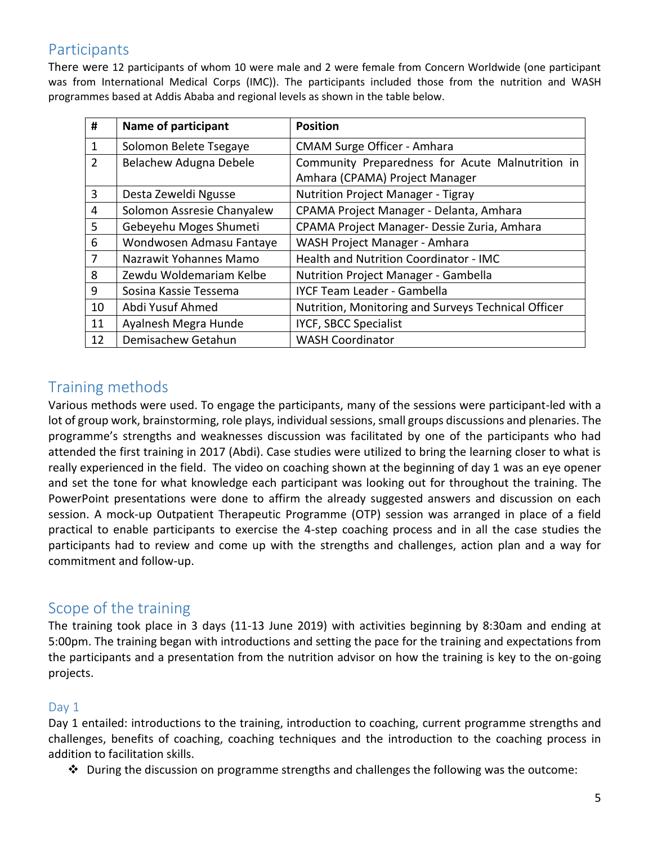## <span id="page-4-0"></span>Participants

There were 12 participants of whom 10 were male and 2 were female from Concern Worldwide (one participant was from International Medical Corps (IMC)). The participants included those from the nutrition and WASH programmes based at Addis Ababa and regional levels as shown in the table below.

| #              | Name of participant        | <b>Position</b>                                     |
|----------------|----------------------------|-----------------------------------------------------|
| 1              | Solomon Belete Tsegaye     | <b>CMAM Surge Officer - Amhara</b>                  |
| $\overline{2}$ | Belachew Adugna Debele     | Community Preparedness for Acute Malnutrition in    |
|                |                            | Amhara (CPAMA) Project Manager                      |
| 3              | Desta Zeweldi Ngusse       | <b>Nutrition Project Manager - Tigray</b>           |
| 4              | Solomon Assresie Chanyalew | CPAMA Project Manager - Delanta, Amhara             |
| 5              | Gebeyehu Moges Shumeti     | CPAMA Project Manager- Dessie Zuria, Amhara         |
| 6              | Wondwosen Admasu Fantaye   | WASH Project Manager - Amhara                       |
| 7              | Nazrawit Yohannes Mamo     | Health and Nutrition Coordinator - IMC              |
| 8              | Zewdu Woldemariam Kelbe    | <b>Nutrition Project Manager - Gambella</b>         |
| 9              | Sosina Kassie Tessema      | <b>IYCF Team Leader - Gambella</b>                  |
| 10             | Abdi Yusuf Ahmed           | Nutrition, Monitoring and Surveys Technical Officer |
| 11             | Ayalnesh Megra Hunde       | <b>IYCF, SBCC Specialist</b>                        |
| 12             | Demisachew Getahun         | <b>WASH Coordinator</b>                             |

## <span id="page-4-1"></span>Training methods

Various methods were used. To engage the participants, many of the sessions were participant-led with a lot of group work, brainstorming, role plays, individual sessions, small groups discussions and plenaries. The programme's strengths and weaknesses discussion was facilitated by one of the participants who had attended the first training in 2017 (Abdi). Case studies were utilized to bring the learning closer to what is really experienced in the field. The video on coaching shown at the beginning of day 1 was an eye opener and set the tone for what knowledge each participant was looking out for throughout the training. The PowerPoint presentations were done to affirm the already suggested answers and discussion on each session. A mock-up Outpatient Therapeutic Programme (OTP) session was arranged in place of a field practical to enable participants to exercise the 4-step coaching process and in all the case studies the participants had to review and come up with the strengths and challenges, action plan and a way for commitment and follow-up.

## <span id="page-4-2"></span>Scope of the training

The training took place in 3 days (11-13 June 2019) with activities beginning by 8:30am and ending at 5:00pm. The training began with introductions and setting the pace for the training and expectations from the participants and a presentation from the nutrition advisor on how the training is key to the on-going projects.

### <span id="page-4-3"></span>Day 1

Day 1 entailed: introductions to the training, introduction to coaching, current programme strengths and challenges, benefits of coaching, coaching techniques and the introduction to the coaching process in addition to facilitation skills.

❖ During the discussion on programme strengths and challenges the following was the outcome: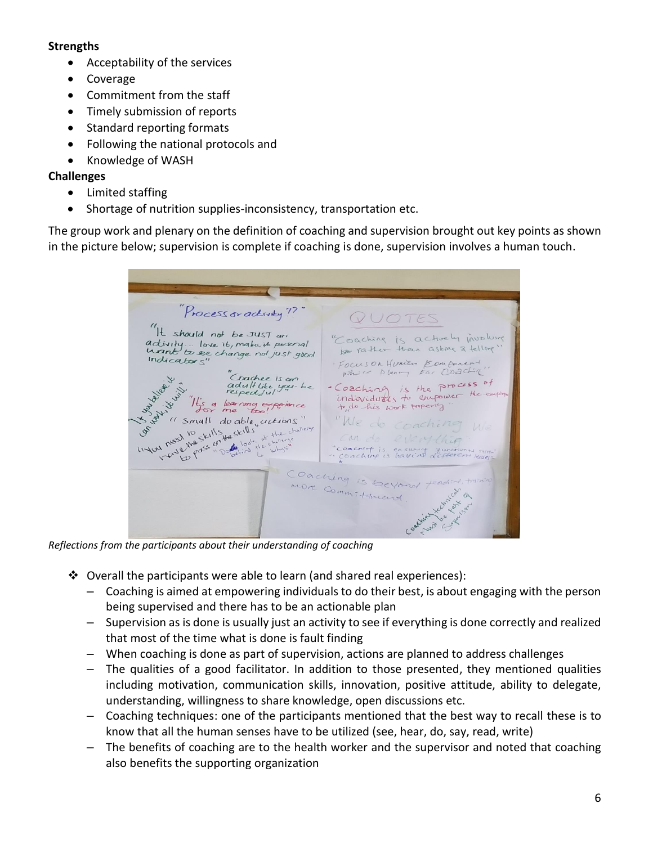#### **Strengths**

- Acceptability of the services
- Coverage
- Commitment from the staff
- Timely submission of reports
- Standard reporting formats
- Following the national protocols and
- Knowledge of WASH

### **Challenges**

- Limited staffing
- Shortage of nutrition supplies-inconsistency, transportation etc.

The group work and plenary on the definition of coaching and supervision brought out key points as shown in the picture below; supervision is complete if coaching is done, supervision involves a human touch.

Process or activity ?? QUOTES It should not be JUST an "Coaching is actively involving activity... love it, make it pussoral<br>want to see change not just good<br>Indicators" to rather than asking & telling" FOCUSOR Human Komforent Galt you be a little of Coachee is an K Jack H - Coaching is the process of<br>individuals to unpower the empire adult like you - be iespecture<br>"It's a learning experience"<br>for me "too! forme" tido his work property "I small do able, actions" "We do coaching We 11 do able, actions of the challenge of the challenge of the challenge of the challenge can do everything "Coaching is ensuing quicking Coaching is beyond fead more Commitment Control Canal Canal  $\circledcirc$ A Level 5

*Reflections from the participants about their understanding of coaching*

- ❖ Overall the participants were able to learn (and shared real experiences):
	- Coaching is aimed at empowering individuals to do their best, is about engaging with the person being supervised and there has to be an actionable plan
	- Supervision as is done is usually just an activity to see if everything is done correctly and realized that most of the time what is done is fault finding
	- When coaching is done as part of supervision, actions are planned to address challenges
	- The qualities of a good facilitator. In addition to those presented, they mentioned qualities including motivation, communication skills, innovation, positive attitude, ability to delegate, understanding, willingness to share knowledge, open discussions etc.
	- Coaching techniques: one of the participants mentioned that the best way to recall these is to know that all the human senses have to be utilized (see, hear, do, say, read, write)
	- The benefits of coaching are to the health worker and the supervisor and noted that coaching also benefits the supporting organization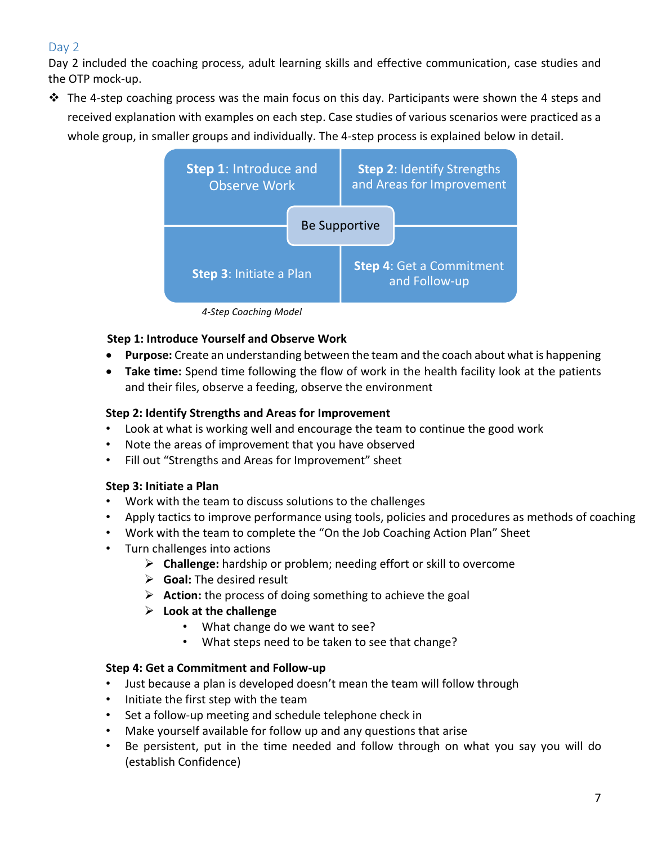### <span id="page-6-0"></span>Day 2

Day 2 included the coaching process, adult learning skills and effective communication, case studies and the OTP mock-up.

 $\dots$  The 4-step coaching process was the main focus on this day. Participants were shown the 4 steps and received explanation with examples on each step. Case studies of various scenarios were practiced as a whole group, in smaller groups and individually. The 4-step process is explained below in detail.



*4-Step Coaching Model*

### **Step 1: Introduce Yourself and Observe Work**

- **Purpose:** Create an understanding between the team and the coach about what is happening
- **Take time:** Spend time following the flow of work in the health facility look at the patients and their files, observe a feeding, observe the environment

### **Step 2: Identify Strengths and Areas for Improvement**

- Look at what is working well and encourage the team to continue the good work
- Note the areas of improvement that you have observed
- Fill out "Strengths and Areas for Improvement" sheet

### **Step 3: Initiate a Plan**

- Work with the team to discuss solutions to the challenges
- Apply tactics to improve performance using tools, policies and procedures as methods of coaching
- Work with the team to complete the "On the Job Coaching Action Plan" Sheet
- Turn challenges into actions
	- ➢ **Challenge:** hardship or problem; needing effort or skill to overcome
	- ➢ **Goal:** The desired result
	- ➢ **Action:** the process of doing something to achieve the goal
	- ➢ **Look at the challenge**
		- What change do we want to see?
		- What steps need to be taken to see that change?

### **Step 4: Get a Commitment and Follow-up**

- Just because a plan is developed doesn't mean the team will follow through
- Initiate the first step with the team
- Set a follow-up meeting and schedule telephone check in
- Make yourself available for follow up and any questions that arise
- Be persistent, put in the time needed and follow through on what you say you will do (establish Confidence)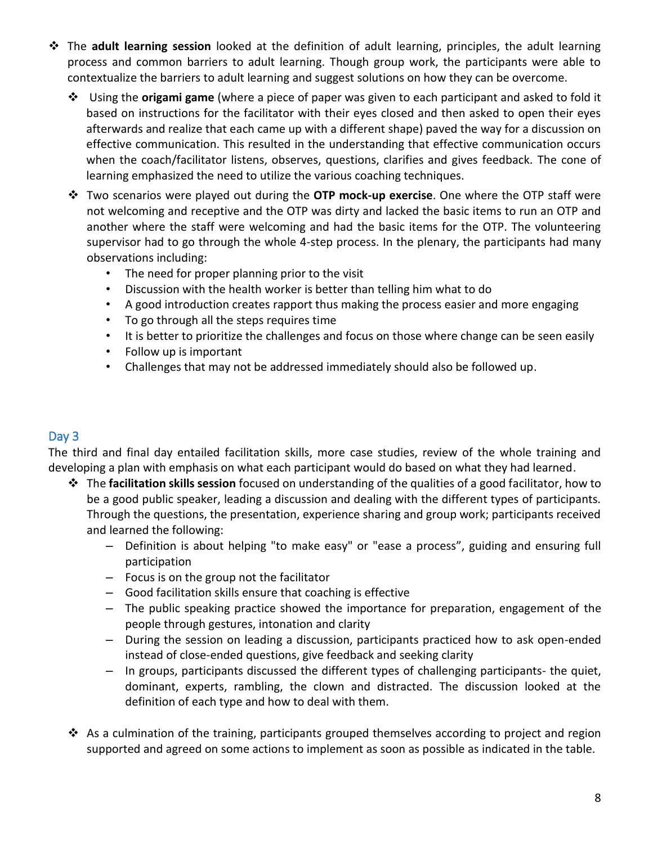- ❖ The **adult learning session** looked at the definition of adult learning, principles, the adult learning process and common barriers to adult learning. Though group work, the participants were able to contextualize the barriers to adult learning and suggest solutions on how they can be overcome.
	- ❖ Using the **origami game** (where a piece of paper was given to each participant and asked to fold it based on instructions for the facilitator with their eyes closed and then asked to open their eyes afterwards and realize that each came up with a different shape) paved the way for a discussion on effective communication. This resulted in the understanding that effective communication occurs when the coach/facilitator listens, observes, questions, clarifies and gives feedback. The cone of learning emphasized the need to utilize the various coaching techniques.
	- ❖ Two scenarios were played out during the **OTP mock-up exercise**. One where the OTP staff were not welcoming and receptive and the OTP was dirty and lacked the basic items to run an OTP and another where the staff were welcoming and had the basic items for the OTP. The volunteering supervisor had to go through the whole 4-step process. In the plenary, the participants had many observations including:
		- The need for proper planning prior to the visit
		- Discussion with the health worker is better than telling him what to do
		- A good introduction creates rapport thus making the process easier and more engaging
		- To go through all the steps requires time
		- It is better to prioritize the challenges and focus on those where change can be seen easily
		- Follow up is important
		- Challenges that may not be addressed immediately should also be followed up.

### <span id="page-7-0"></span>Day 3

The third and final day entailed facilitation skills, more case studies, review of the whole training and developing a plan with emphasis on what each participant would do based on what they had learned.

- ❖ The **facilitation skills session** focused on understanding of the qualities of a good facilitator, how to be a good public speaker, leading a discussion and dealing with the different types of participants. Through the questions, the presentation, experience sharing and group work; participants received and learned the following:
	- Definition is about helping "to make easy" or "ease a process", guiding and ensuring full participation
	- Focus is on the group not the facilitator
	- Good facilitation skills ensure that coaching is effective
	- The public speaking practice showed the importance for preparation, engagement of the people through gestures, intonation and clarity
	- During the session on leading a discussion, participants practiced how to ask open-ended instead of close-ended questions, give feedback and seeking clarity
	- In groups, participants discussed the different types of challenging participants- the quiet, dominant, experts, rambling, the clown and distracted. The discussion looked at the definition of each type and how to deal with them.
- ❖ As a culmination of the training, participants grouped themselves according to project and region supported and agreed on some actions to implement as soon as possible as indicated in the table.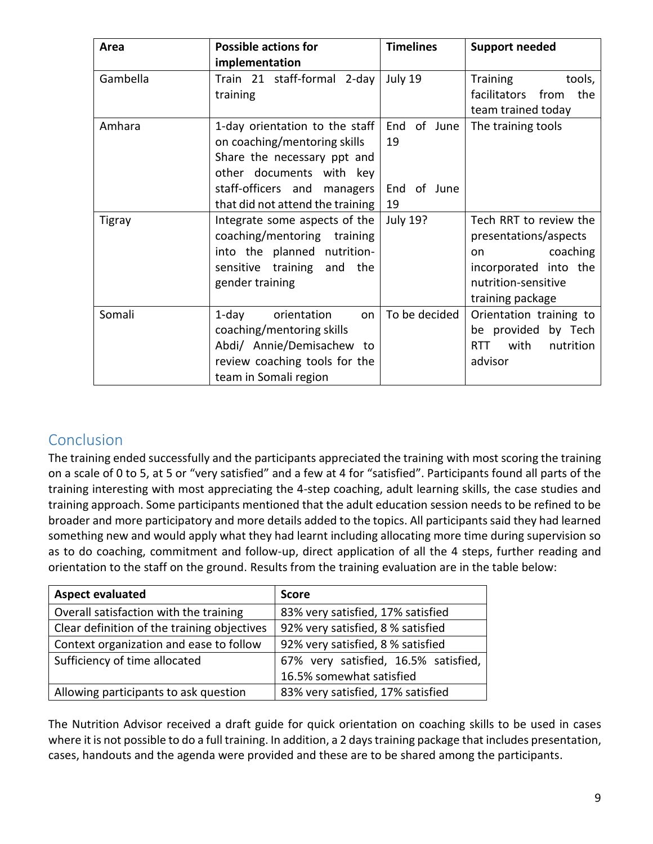| <b>Possible actions for</b><br>Area |                                  | <b>Timelines</b> | <b>Support needed</b>           |
|-------------------------------------|----------------------------------|------------------|---------------------------------|
|                                     | implementation                   |                  |                                 |
| Gambella                            | Train 21 staff-formal 2-day      | July 19          | tools,<br><b>Training</b>       |
|                                     | training                         |                  | facilitators<br>from<br>the     |
|                                     |                                  |                  | team trained today              |
| Amhara                              | 1-day orientation to the staff   | End of June      | The training tools              |
|                                     | on coaching/mentoring skills     | 19               |                                 |
|                                     | Share the necessary ppt and      |                  |                                 |
|                                     | other documents with key         |                  |                                 |
|                                     | staff-officers and managers      | End of June      |                                 |
|                                     | that did not attend the training | 19               |                                 |
| <b>Tigray</b>                       | Integrate some aspects of the    | <b>July 19?</b>  | Tech RRT to review the          |
|                                     | coaching/mentoring training      |                  | presentations/aspects           |
|                                     | into the planned nutrition-      |                  | coaching<br>on.                 |
|                                     | sensitive training and the       |                  | incorporated into the           |
|                                     | gender training                  |                  | nutrition-sensitive             |
|                                     |                                  |                  | training package                |
| Somali                              | 1-day<br>orientation<br>on       | To be decided    | Orientation training to         |
|                                     | coaching/mentoring skills        |                  | be provided by Tech             |
|                                     | Abdi/ Annie/Demisachew to        |                  | <b>RTT</b><br>with<br>nutrition |
|                                     | review coaching tools for the    |                  | advisor                         |
|                                     | team in Somali region            |                  |                                 |

## <span id="page-8-0"></span>Conclusion

The training ended successfully and the participants appreciated the training with most scoring the training on a scale of 0 to 5, at 5 or "very satisfied" and a few at 4 for "satisfied". Participants found all parts of the training interesting with most appreciating the 4-step coaching, adult learning skills, the case studies and training approach. Some participants mentioned that the adult education session needs to be refined to be broader and more participatory and more details added to the topics. All participants said they had learned something new and would apply what they had learnt including allocating more time during supervision so as to do coaching, commitment and follow-up, direct application of all the 4 steps, further reading and orientation to the staff on the ground. Results from the training evaluation are in the table below:

| <b>Aspect evaluated</b>                     | <b>Score</b>                         |
|---------------------------------------------|--------------------------------------|
| Overall satisfaction with the training      | 83% very satisfied, 17% satisfied    |
| Clear definition of the training objectives | 92% very satisfied, 8 % satisfied    |
| Context organization and ease to follow     | 92% very satisfied, 8 % satisfied    |
| Sufficiency of time allocated               | 67% very satisfied, 16.5% satisfied, |
|                                             | 16.5% somewhat satisfied             |
| Allowing participants to ask question       | 83% very satisfied, 17% satisfied    |

The Nutrition Advisor received a draft guide for quick orientation on coaching skills to be used in cases where it is not possible to do a full training. In addition, a 2 days training package that includes presentation, cases, handouts and the agenda were provided and these are to be shared among the participants.